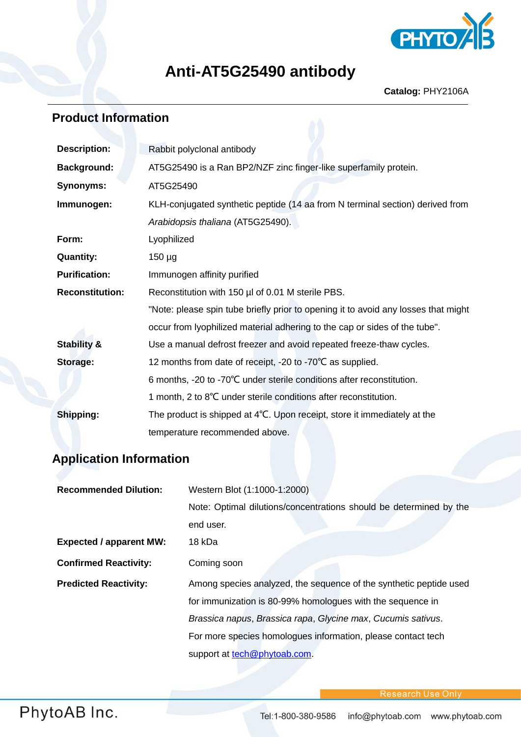

## **Anti-AT5G25490 antibody**

## **Product Information**

| <b>Description:</b>    | Rabbit polyclonal antibody                                                         |  |
|------------------------|------------------------------------------------------------------------------------|--|
| <b>Background:</b>     | AT5G25490 is a Ran BP2/NZF zinc finger-like superfamily protein.                   |  |
| <b>Synonyms:</b>       | AT5G25490                                                                          |  |
| Immunogen:             | KLH-conjugated synthetic peptide (14 aa from N terminal section) derived from      |  |
|                        | Arabidopsis thaliana (AT5G25490).                                                  |  |
| Form:                  | Lyophilized                                                                        |  |
| <b>Quantity:</b>       | $150 \mu g$                                                                        |  |
| <b>Purification:</b>   | Immunogen affinity purified                                                        |  |
| <b>Reconstitution:</b> | Reconstitution with 150 µl of 0.01 M sterile PBS.                                  |  |
|                        | "Note: please spin tube briefly prior to opening it to avoid any losses that might |  |
|                        | occur from lyophilized material adhering to the cap or sides of the tube".         |  |
| <b>Stability &amp;</b> | Use a manual defrost freezer and avoid repeated freeze-thaw cycles.                |  |
| <b>Storage:</b>        | 12 months from date of receipt, -20 to -70°C as supplied.                          |  |
|                        | 6 months, -20 to -70°C under sterile conditions after reconstitution.              |  |
|                        | 1 month, 2 to 8°C under sterile conditions after reconstitution.                   |  |
| Shipping:              | The product is shipped at 4°C. Upon receipt, store it immediately at the           |  |
|                        | temperature recommended above.                                                     |  |

## **Application Information**

| <b>Recommended Dilution:</b>   | Western Blot (1:1000-1:2000)                                       |
|--------------------------------|--------------------------------------------------------------------|
|                                | Note: Optimal dilutions/concentrations should be determined by the |
|                                | end user.                                                          |
| <b>Expected / apparent MW:</b> | 18 kDa                                                             |
| <b>Confirmed Reactivity:</b>   | Coming soon                                                        |
| <b>Predicted Reactivity:</b>   | Among species analyzed, the sequence of the synthetic peptide used |
|                                | for immunization is 80-99% homologues with the sequence in         |
|                                | Brassica napus, Brassica rapa, Glycine max, Cucumis sativus.       |
|                                | For more species homologues information, please contact tech       |
|                                | support at tech@phytoab.com.                                       |

PhytoAB Inc.